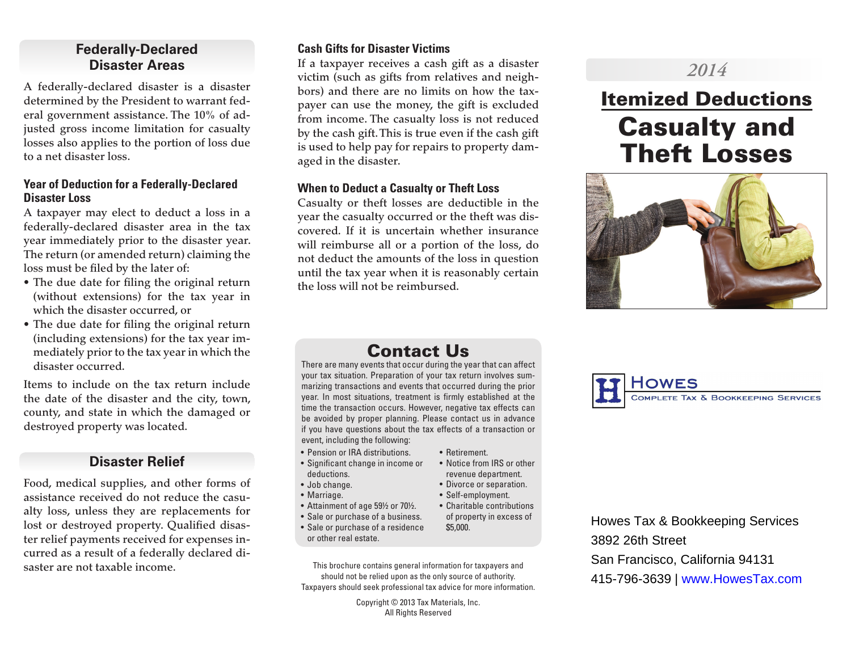# **Federally-Declared Disaster Areas**

A federally-declared disaster is a disaster determined by the President to warrant federal government assistance. The 10% of adjusted gross income limitation for casualty losses also applies to the portion of loss due to a net disaster loss.

#### **Year of Deduction for a Federally-Declared Disaster Loss**

A taxpayer may elect to deduct a loss in a federally-declared disaster area in the tax year immediately prior to the disaster year. The return (or amended return) claiming the loss must be filed by the later of:

- The due date for filing the original return (without extensions) for the tax year in which the disaster occurred, or
- The due date for filing the original return (including extensions) for the tax year immediately prior to the tax year in which the disaster occurred.

Items to include on the tax return include the date of the disaster and the city, town, county, and state in which the damaged or destroyed property was located.

# **Disaster Relief**

Food, medical supplies, and other forms of assistance received do not reduce the casualty loss, unless they are replacements for lost or destroyed property. Qualified disaster relief payments received for expenses incurred as a result of a federally declared disaster are not taxable income.

## **Cash Gifts for Disaster Victims**

If a taxpayer receives a cash gift as a disaster victim (such as gifts from relatives and neighbors) and there are no limits on how the taxpayer can use the money, the gift is excluded from income. The casualty loss is not reduced by the cash gift. This is true even if the cash gift is used to help pay for repairs to property damaged in the disaster.

## **When to Deduct a Casualty or Theft Loss**

Casualty or theft losses are deductible in the year the casualty occurred or the theft was discovered. If it is uncertain whether insurance will reimburse all or a portion of the loss, do not deduct the amounts of the loss in question until the tax year when it is reasonably certain the loss will not be reimbursed.

# *2014*

# Itemized Deductions Casualty and Theft Losses



# Contact Us

There are many events that occur during the year that can affect your tax situation. Preparation of your tax return involves summarizing transactions and events that occurred during the prior year. In most situations, treatment is firmly established at the time the transaction occurs. However, negative tax effects can be avoided by proper planning. Please contact us in advance if you have questions about the tax effects of a transaction or event, including the following:

• Retirement.

\$5,000.

• Notice from IRS or other revenue department. • Divorce or separation. • Self-employment.

of property in excess of

- Pension or IRA distributions.
- Significant change in income or deductions.
- Job change.
- Marriage.
- Attainment of age 59½ or 70½. • Charitable contributions
- Sale or purchase of a business.
- Sale or purchase of a residence or other real estate.
- This brochure contains general information for taxpayers and should not be relied upon as the only source of authority. Taxpayers should seek professional tax advice for more information.

Copyright © 2013 Tax Materials, Inc. All Rights Reserved



Howes Tax & Bookkeeping Services 3892 26th Street San Francisco, California 94131 415-796-3639 | www.HowesTax.com